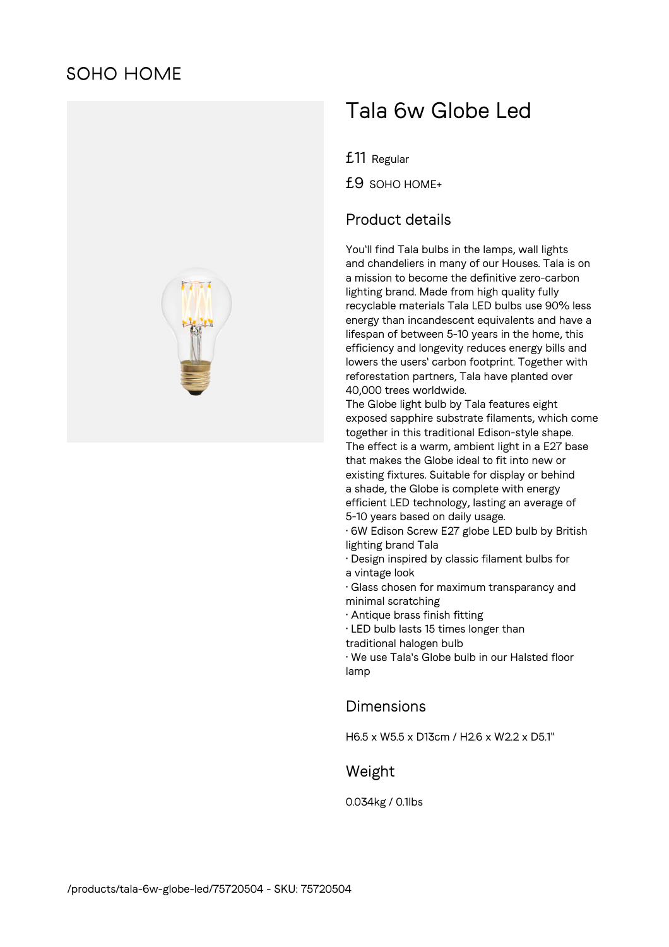# **SOHO HOME**



# Tala 6w Globe Led

£11 Regular

£9 SOHO HOME+

### Product details

You'll find Tala bulbs in the lamps, wall lights and chandeliers in many of our Houses. Tala is on a mission to become the definitive zero-carbon lighting brand. Made from high quality fully recyclable materials Tala LED bulbs use 90% less energy than incandescent equivalents and have a lifespan of between 5-10 years in the home, this efficiency and longevity reduces energy bills and lowers the users' carbon footprint. Together with reforestation partners, Tala have planted over 40,000 trees worldwide.

The Globe light bulb by Tala features eight exposed sapphire substrate filaments, which come together in this traditional Edison-style shape. The effect is a warm, ambient light in a E27 base that makes the Globe ideal to fit into new or existing fixtures. Suitable for display or behind a shade, the Globe is complete with energy efficient LED technology, lasting an average of 5-10 years based on daily usage.

• 6W Edison Screw E27 globe LED bulb by British lighting brand Tala

- Design inspired by classic filament bulbs for a vintage look
- Glass chosen for maximum transparancy and minimal scratching
- Antique brass finish fitting
- LED bulb lasts 15 times longer than

traditional halogen bulb

• We use Tala's Globe bulb in our Halsted floor lamp

#### Dimensions

H6.5 x W5.5 x D13cm / H2.6 x W2.2 x D5.1"

## Weight

0.034kg / 0.1lbs